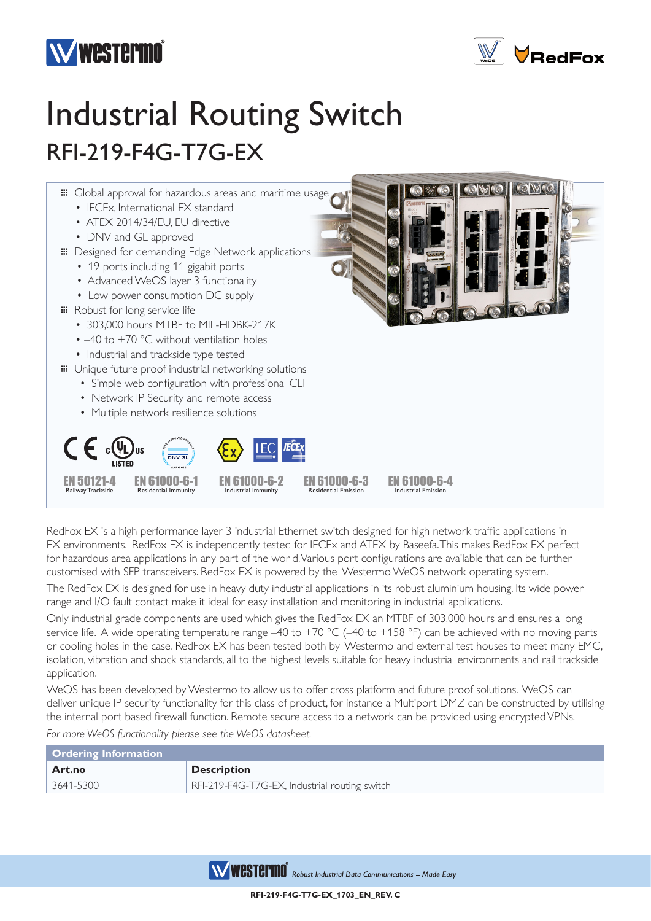



## Industrial Routing Switch RFI-219-F4G-T7G-EX



RedFox EX is a high performance layer 3 industrial Ethernet switch designed for high network traffic applications in EX environments. RedFox EX is independently tested for IECEx and ATEX by Baseefa. This makes RedFox EX perfect for hazardous area applications in any part of the world. Various port configurations are available that can be further customised with SFP transceivers. RedFox EX is powered by the Westermo WeOS network operating system.

The RedFox EX is designed for use in heavy duty industrial applications in its robust aluminium housing. Its wide power range and I/O fault contact make it ideal for easy installation and monitoring in industrial applications.

Only industrial grade components are used which gives the RedFox EX an MTBF of 303,000 hours and ensures a long service life. A wide operating temperature range  $-40$  to  $+70$  °C ( $-40$  to  $+158$  °F) can be achieved with no moving parts or cooling holes in the case. RedFox EX has been tested both by Westermo and external test houses to meet many EMC, isolation, vibration and shock standards, all to the highest levels suitable for heavy industrial environments and rail trackside application.

WeOS has been developed by Westermo to allow us to offer cross platform and future proof solutions. WeOS can deliver unique IP security functionality for this class of product, for instance a Multiport DMZ can be constructed by utilising the internal port based firewall function. Remote secure access to a network can be provided using encrypted VPNs.

*For more WeOS functionality please see the WeOS datasheet.*

| <b>Ordering Information</b> |                                               |
|-----------------------------|-----------------------------------------------|
| Art.no                      | <b>Description</b>                            |
| $13641 - 5300$              | RFI-219-F4G-T7G-EX, Industrial routing switch |